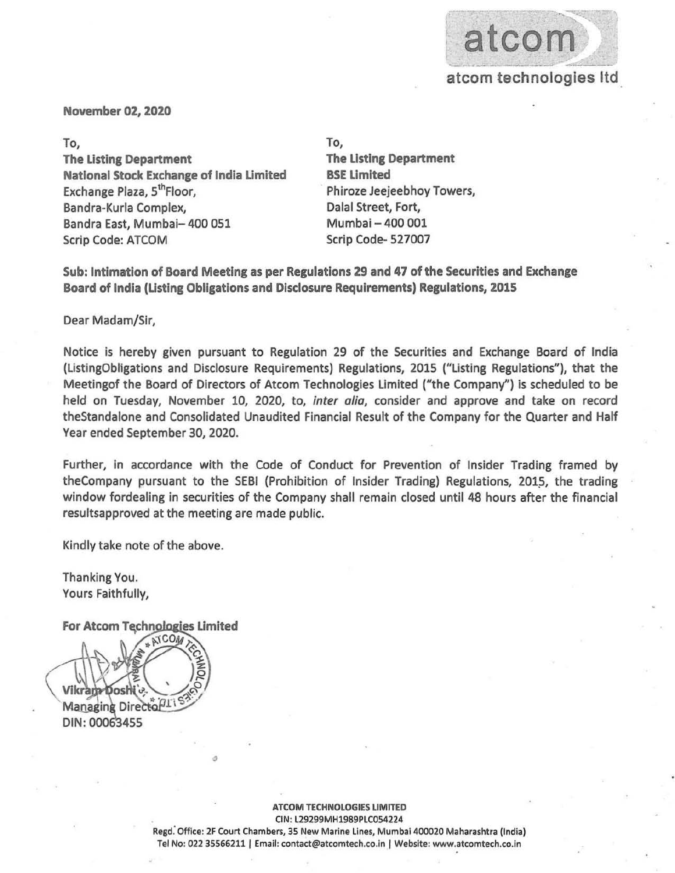

November 02, 2020

To, To, **The Listing Department** National Stock Exchange of India Limited Exchange Plaza, 5<sup>th</sup>Floor, Bandra-Kurla Complex, and a complexed balal Street, Fort, Bandra East, Mumbai- 400 051 Scrip Code: ATCOM

**The Listing Department** BSE limited Phiroze Jeejeebhoy Towers, Mumbai - 400 001 Scrip Code- 527007

Sub: Intimation of Board Meeting as per Regulations 29 and 47 of the Securities and Exchange Board of India (Listing Obligations and Disclosure Requirements) Regulations, 2015

Dear Madam/Sir,

Notice is hereby given pursuant to Regulation 29 of the Securities and Exchange Board of India (listingObligations and Disclosure Requirements) Regulations, 2015 ("listing Regulations"), that the Meetingof the Board of Directors of Atcom Technologies limited ("the Company") is scheduled to be held on Tuesday, November 10, 2020, to, *inter alia,* consider and approve and take on record theStandalone and Consolidated Unaudited Financial Result of the Company for the Quarter and Half Year ended September 30, 2020.

Further, in accordance with the Code of Conduct for Prevention of Insider Trading framed by theCompany pursuant to the SEBI (Prohibition of Insider Trading) Regulations, 2015, the trading window fordealing in securities of the Company shall remain closed until 48 hours after the financial resultsapproved at the meeting are made public.

Kindly take note of the above.

Thanking You. Yours Faithfully,

For Atcom Technologies Limited



ATCOM TECHNOLOGIES LIMITED CIN: l 29299MH1989PlC054224 Regd. Office: 2F Court Chambers, 35 New Marine Lines, Mumbai 400020 Maharashtra (India) Tel No: 022 35566211 | Email: contact@atcomtech.co.in | Website: www.atcomtech.co.in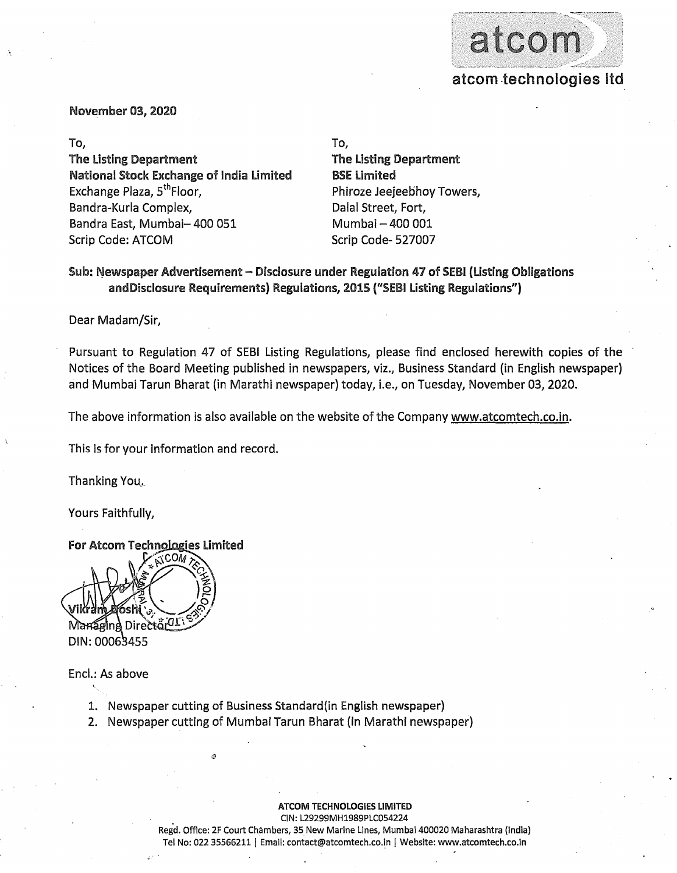

November 03, 2020

.\

The listing Department National Stock Exchange of India limited Exchange Plaza, 5<sup>th</sup>Floor, Bandra-Kurla Complex, and a complexed bandra-Kurla Complex, Bandra East, Mumbai- 400 051 Scrip Code: ATCOM

To, To,

The Listing Department SSE Limited Phiroze Jeejeebhoy Towers, Mumbai - 400 001 Scrip Code- 527007

## Sub: Newspaper Advertisement - Disclosure under Regulation 47 of SEBI (Listing Obligations and Disclosure Requirements) Regulations, 2015 ("SEBI Listing Regulations")

Dear Madam/Sir,

Pursuant to Regulation 47 of SEBI Listing Regulations, please find enclosed herewith copies of the Notices of the Board Meeting published in newspapers, viz., Business Standard (in English newspaper) and Mumbai Tarun Bharat (in Marathi newspaper) today, i.e., on Tuesday, November 03, 2020.

The above information is also available on the website of the Company www.atcomtech.co.in.

This is for your information and record.

Thanking You.,\_

Yours Faithfully,

For Atcom Technologies Limited

∢COM rectôr<sup>01</sup> DIN: 00063455

Encl.: As above

- 1. Newspaper cutting of Business Standard(in English newspaper)
- 2. Newspaper cutting of Mumbai Tarun Bharat (in Marathi newspaper)

ATCOM TECHNOLOGIES LIMITED

ClN:L29299MH1989PLC054224

Regd. Office: 2F Court Chambers, 35 New Marine Lines, Mumbai *400020* Maharashtra (India) Tel No: 022 35566211 | Email: contact@atcomtech.co.in | Website: www.atcomtech.co.in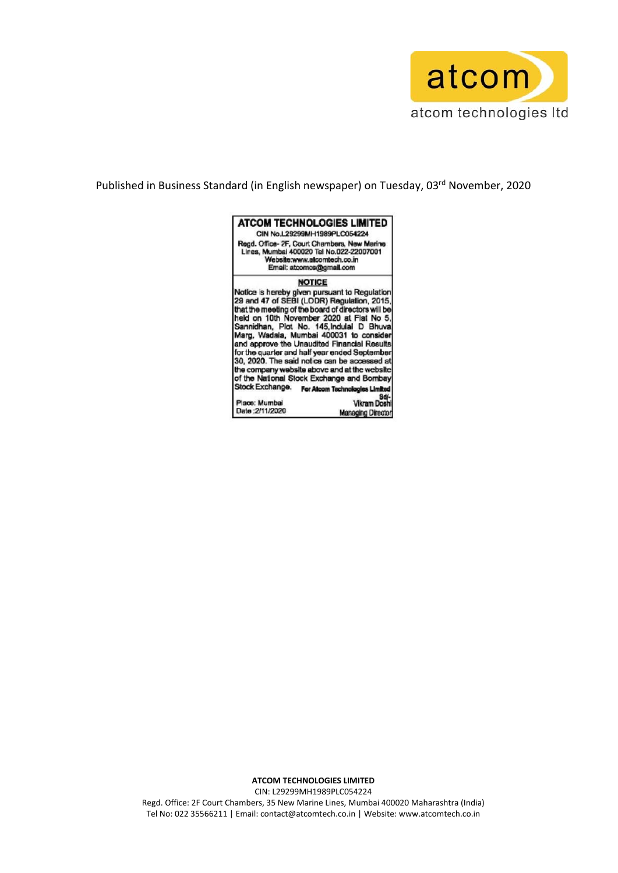

Published in Business Standard (in English newspaper) on Tuesday, 03<sup>rd</sup> November, 2020



CIN: L29299MH1989PLC054224 Regd. Office: 2F Court Chambers, 35 New Marine Lines, Mumbai 400020 Maharashtra (India) Tel No: 022 35566211 | Email: contact@atcomtech.co.in | Website: www.atcomtech.co.in

**ATCOM TECHNOLOGIES LIMITED**